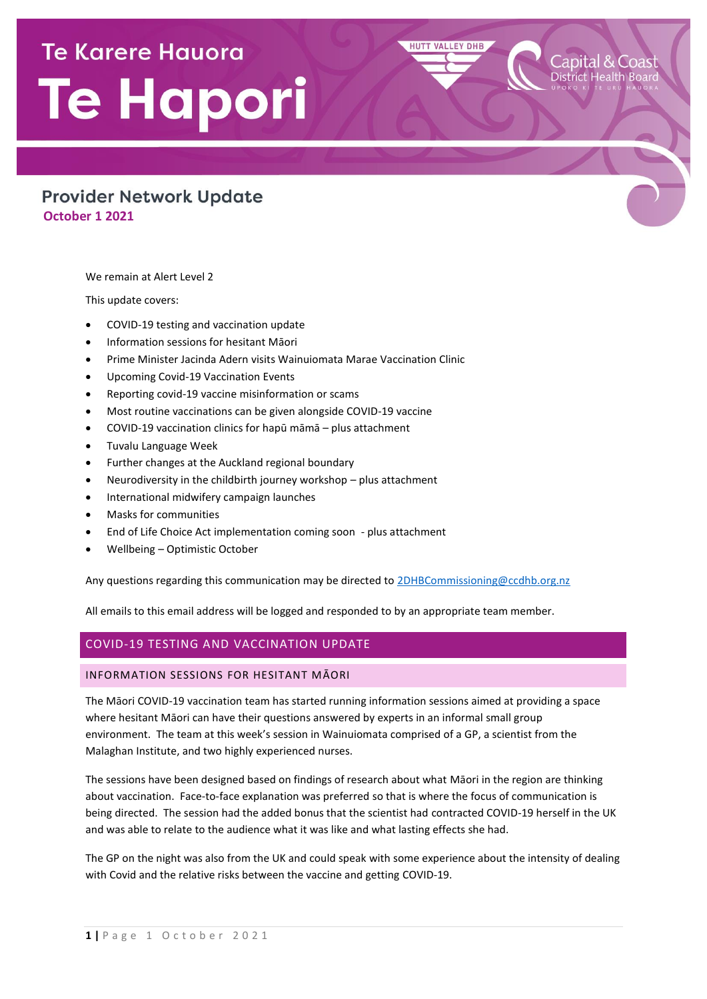# **Te Karere Hauora** Te Hapori

## **Provider Network Update October 1 2021**

We remain at Alert Level 2

This update covers:

- COVID-19 testing and vaccination update
- Information sessions for hesitant Māori
- Prime Minister Jacinda Adern visits Wainuiomata Marae Vaccination Clinic
- Upcoming Covid-19 Vaccination Events
- Reporting covid-19 vaccine misinformation or scams
- Most routine vaccinations can be given alongside COVID-19 vaccine
- COVID-19 vaccination clinics for hapū māmā plus attachment
- Tuvalu Language Week
- Further changes at the Auckland regional boundary
- Neurodiversity in the childbirth journey workshop plus attachment
- International midwifery campaign launches
- Masks for communities
- End of Life Choice Act implementation coming soon plus attachment
- Wellbeing Optimistic October

Any questions regarding this communication may be directed to **2DHBCommissioning@ccdhb.org.nz** 

**HUTT VALLEY DHB** 

All emails to this email address will be logged and responded to by an appropriate team member.

## COVID-19 TESTING AND VACCINATION UPDATE

#### INFORMATION SESSIONS FOR HESITANT MĀORI

The Māori COVID-19 vaccination team has started running information sessions aimed at providing a space where hesitant Māori can have their questions answered by experts in an informal small group environment. The team at this week's session in Wainuiomata comprised of a GP, a scientist from the Malaghan Institute, and two highly experienced nurses.

The sessions have been designed based on findings of research about what Māori in the region are thinking about vaccination. Face-to-face explanation was preferred so that is where the focus of communication is being directed. The session had the added bonus that the scientist had contracted COVID-19 herself in the UK and was able to relate to the audience what it was like and what lasting effects she had.

The GP on the night was also from the UK and could speak with some experience about the intensity of dealing with Covid and the relative risks between the vaccine and getting COVID-19.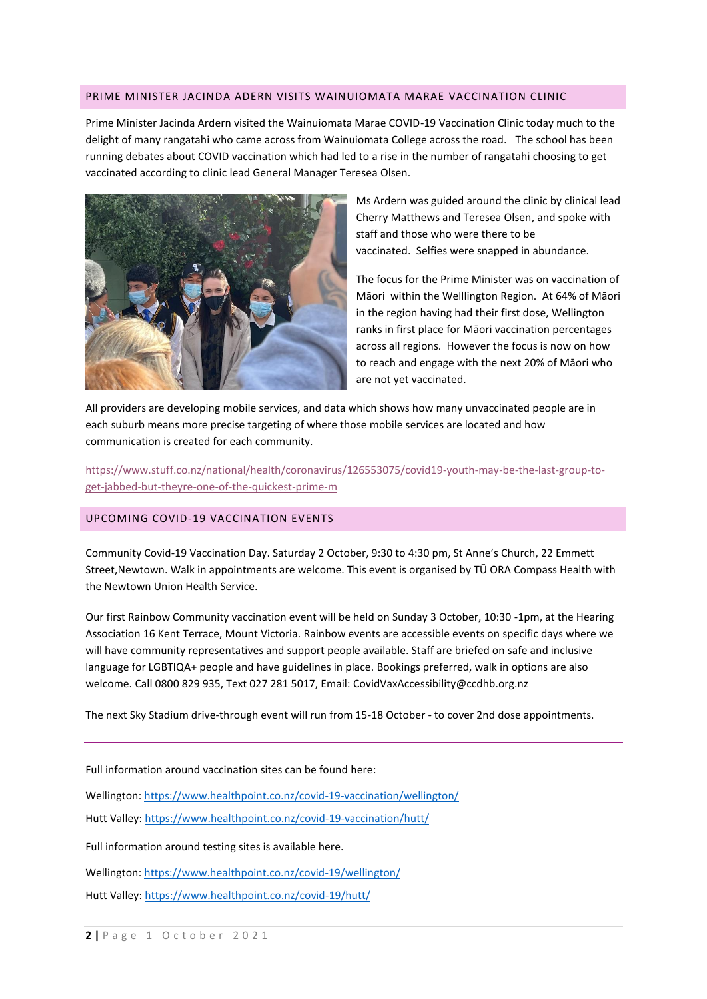#### PRIME MINISTER JACINDA ADERN VISITS WAINUIOMATA MARAE VACCINATION CLINIC

Prime Minister Jacinda Ardern visited the Wainuiomata Marae COVID-19 Vaccination Clinic today much to the delight of many rangatahi who came across from Wainuiomata College across the road. The school has been running debates about COVID vaccination which had led to a rise in the number of rangatahi choosing to get vaccinated according to clinic lead General Manager Teresea Olsen.



Ms Ardern was guided around the clinic by clinical lead Cherry Matthews and Teresea Olsen, and spoke with staff and those who were there to be vaccinated. Selfies were snapped in abundance.

The focus for the Prime Minister was on vaccination of Māori within the Welllington Region. At 64% of Māori in the region having had their first dose, Wellington ranks in first place for Māori vaccination percentages across all regions. However the focus is now on how to reach and engage with the next 20% of Māori who are not yet vaccinated.

All providers are developing mobile services, and data which shows how many unvaccinated people are in each suburb means more precise targeting of where those mobile services are located and how communication is created for each community.

[https://www.stuff.co.nz/national/health/coronavirus/126553075/covid19-youth-may-be-the-last-group-to](https://www.stuff.co.nz/national/health/coronavirus/126553075/covid19-youth-may-be-the-last-group-to-get-jabbed-but-theyre-one-of-the-quickest-prime-m)[get-jabbed-but-theyre-one-of-the-quickest-prime-m](https://www.stuff.co.nz/national/health/coronavirus/126553075/covid19-youth-may-be-the-last-group-to-get-jabbed-but-theyre-one-of-the-quickest-prime-m)

## UPCOMING COVID-19 VACCINATION EVENTS

Community Covid-19 Vaccination Day. Saturday 2 October, 9:30 to 4:30 pm, St Anne's Church, 22 Emmett Street,Newtown. Walk in appointments are welcome. This event is organised by TŪ ORA Compass Health with the Newtown Union Health Service.

Our first Rainbow Community vaccination event will be held on Sunday 3 October, 10:30 -1pm, at the Hearing Association 16 Kent Terrace, Mount Victoria. Rainbow events are accessible events on specific days where we will have community representatives and support people available. Staff are briefed on safe and inclusive language for LGBTIQA+ people and have guidelines in place. Bookings preferred, walk in options are also welcome. Call 0800 829 935, Text 027 281 5017, Email[: CovidVaxAccessibility@ccdhb.org.nz](mailto:CovidVaxAccessibility@ccdhb.org.nz)

The next Sky Stadium drive-through event will run from 15-18 October - to cover 2nd dose appointments.

Full information around vaccination sites can be found here:

Wellington[: https://www.healthpoint.co.nz/covid-19-vaccination/wellington/](https://www.healthpoint.co.nz/covid-19-vaccination/wellington/) Hutt Valley:<https://www.healthpoint.co.nz/covid-19-vaccination/hutt/>

Full information around testing sites is available here.

Wellington[: https://www.healthpoint.co.nz/covid-19/wellington/](https://www.healthpoint.co.nz/covid-19/wellington/) Hutt Valley:<https://www.healthpoint.co.nz/covid-19/hutt/>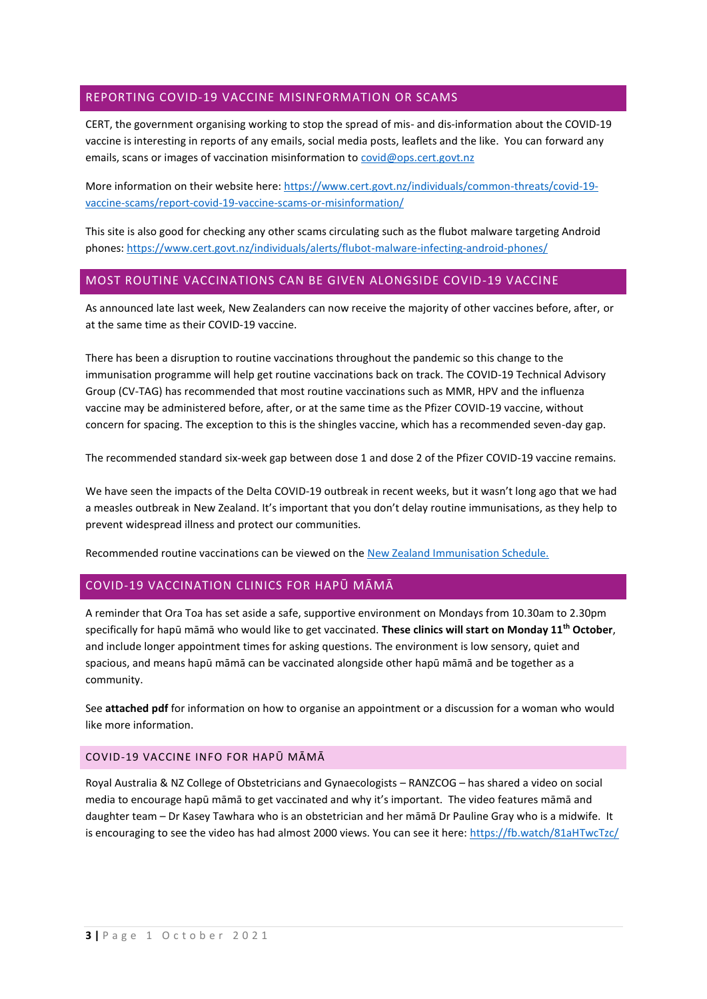## REPORTING COVID-19 VACCINE MISINFORMATION OR SCAMS

CERT, the government organising working to stop the spread of mis- and dis-information about the COVID-19 vaccine is interesting in reports of any emails, social media posts, leaflets and the like. You can forward any emails, scans or images of vaccination misinformation to [covid@ops.cert.govt.nz](mailto:covid@ops.cert.govt.nz)

More information on their website here: [https://www.cert.govt.nz/individuals/common-threats/covid-19](https://www.cert.govt.nz/individuals/common-threats/covid-19-vaccine-scams/report-covid-19-vaccine-scams-or-misinformation/) [vaccine-scams/report-covid-19-vaccine-scams-or-misinformation/](https://www.cert.govt.nz/individuals/common-threats/covid-19-vaccine-scams/report-covid-19-vaccine-scams-or-misinformation/)

This site is also good for checking any other scams circulating such as the flubot malware targeting Android phones:<https://www.cert.govt.nz/individuals/alerts/flubot-malware-infecting-android-phones/>

## MOST ROUTINE VACCINATIONS CAN BE GIVEN ALONGSIDE COVID-19 VACCINE

As announced late last week, New Zealanders can now receive the majority of other vaccines before, after, or at the same time as their COVID-19 vaccine.

There has been a disruption to routine vaccinations throughout the pandemic so this change to the immunisation programme will help get routine vaccinations back on track. The COVID-19 Technical Advisory Group (CV-TAG) has recommended that most routine vaccinations such as MMR, HPV and the influenza vaccine may be administered before, after, or at the same time as the Pfizer COVID-19 vaccine, without concern for spacing. The exception to this is the shingles vaccine, which has a recommended seven-day gap.

The recommended standard six-week gap between dose 1 and dose 2 of the Pfizer COVID-19 vaccine remains.

We have seen the impacts of the Delta COVID-19 outbreak in recent weeks, but it wasn't long ago that we had a measles outbreak in New Zealand. It's important that you don't delay routine immunisations, as they help to prevent widespread illness and protect our communities.

Recommended routine vaccinations can be viewed on th[e New Zealand Immunisation Schedule.](https://urldefense.com/v3/__https:/www.health.govt.nz/our-work/preventative-health-wellness/immunisation/new-zealand-immunisation-schedule__;!!A3teau8g8Q!F6MZGiNaomVVZx_l83HMnFQhWmwZcj6OnuSDAGK1uj75B_af_da1fZOHAA_AhCQ$)

## COVID-19 VACCINATION CLINICS FOR HAPŪ MĀMĀ

A reminder that Ora Toa has set aside a safe, supportive environment on Mondays from 10.30am to 2.30pm specifically for hapū māmā who would like to get vaccinated. **These clinics will start on Monday 11th October**, and include longer appointment times for asking questions. The environment is low sensory, quiet and spacious, and means hapū māmā can be vaccinated alongside other hapū māmā and be together as a community.

See **attached pdf** for information on how to organise an appointment or a discussion for a woman who would like more information.

#### COVID-19 VACCINE INFO FOR HAPŪ MĀMĀ

Royal Australia & NZ College of Obstetricians and Gynaecologists – RANZCOG – has shared a video on social media to encourage hapū māmā to get vaccinated and why it's important. The video features māmā and daughter team – Dr Kasey Tawhara who is an obstetrician and her māmā Dr Pauline Gray who is a midwife. It is encouraging to see the video has had almost 2000 views. You can see it here:<https://fb.watch/81aHTwcTzc/>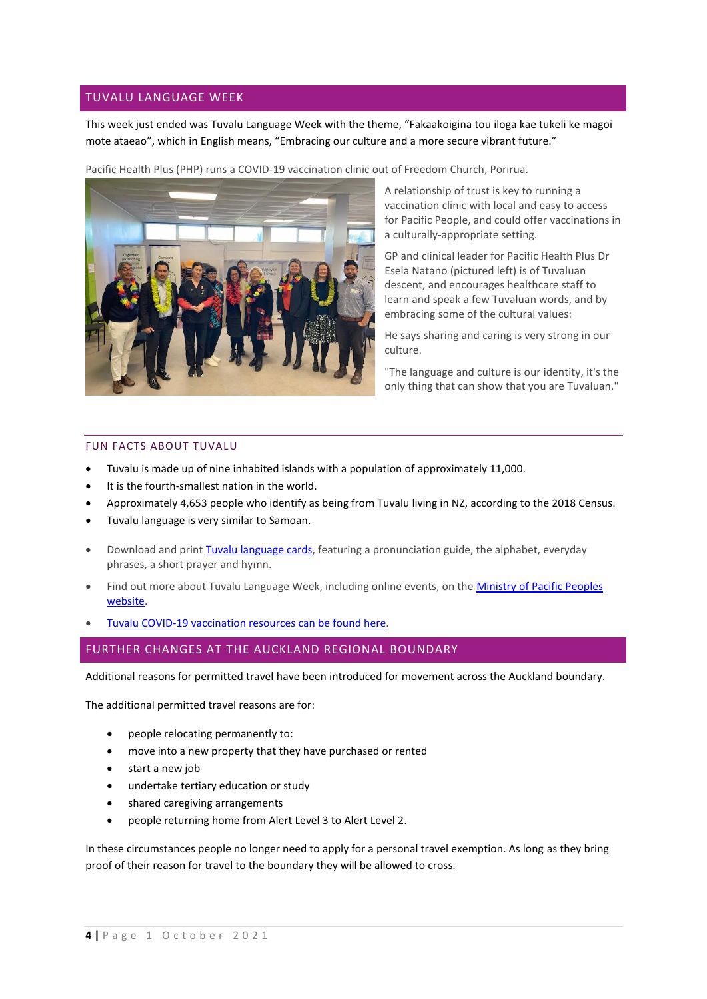## TUVALU LANGUAGE WEEK

This week just ended was Tuvalu Language Week with the theme, "Fakaakoigina tou iloga kae tukeli ke magoi mote ataeao", which in English means, "Embracing our culture and a more secure vibrant future."

Pacific Health Plus (PHP) runs a COVID-19 vaccination clinic out of Freedom Church, Porirua.



A relationship of trust is key to running a vaccination clinic with local and easy to access for Pacific People, and could offer vaccinations in a culturally-appropriate setting.

GP and clinical leader for Pacific Health Plus Dr Esela Natano (pictured left) is of Tuvaluan descent, and encourages healthcare staff to learn and speak a few Tuvaluan words, and by embracing some of the cultural values:

He says sharing and caring is very strong in our culture.

"The language and culture is our identity, it's the only thing that can show that you are Tuvaluan."

#### FUN FACTS ABOUT TUVALU

- Tuvalu is made up of nine inhabited islands with a population of approximately 11,000.
- It is the fourth-smallest nation in the world.
- Approximately 4,653 people who identify as being from Tuvalu living in NZ, according to the 2018 Census.
- Tuvalu language is very similar to Samoan.
- Download and print [Tuvalu language cards,](https://www.mpp.govt.nz/assets/Pacific-Language-Cards/Te-Gana-Tuvalu-Language-Cards.pdf) featuring a pronunciation guide, the alphabet, everyday phrases, a short prayer and hymn.
- Find out more about Tuvalu Language Week, including online events, on the Ministry of Pacific Peoples [website.](https://www.mpp.govt.nz/programmes/pacific-language-weeks/tuvalu-language-week-2021/)
- [Tuvalu COVID-19 vaccination resources](https://covid19.govt.nz/iwi-and-communities/translations/tuvaluan/) can be found here.

## FURTHER CHANGES AT THE AUCKLAND REGIONAL BOUNDARY

Additional reasons for permitted travel have been introduced for movement across the Auckland boundary.

The additional permitted travel reasons are for:

- people relocating permanently to:
- move into a new property that they have purchased or rented
- start a new job
- undertake tertiary education or study
- shared caregiving arrangements
- people returning home from Alert Level 3 to Alert Level 2.

In these circumstances people no longer need to apply for a personal travel exemption. As long as they bring proof of their reason for travel to the boundary they will be allowed to cross.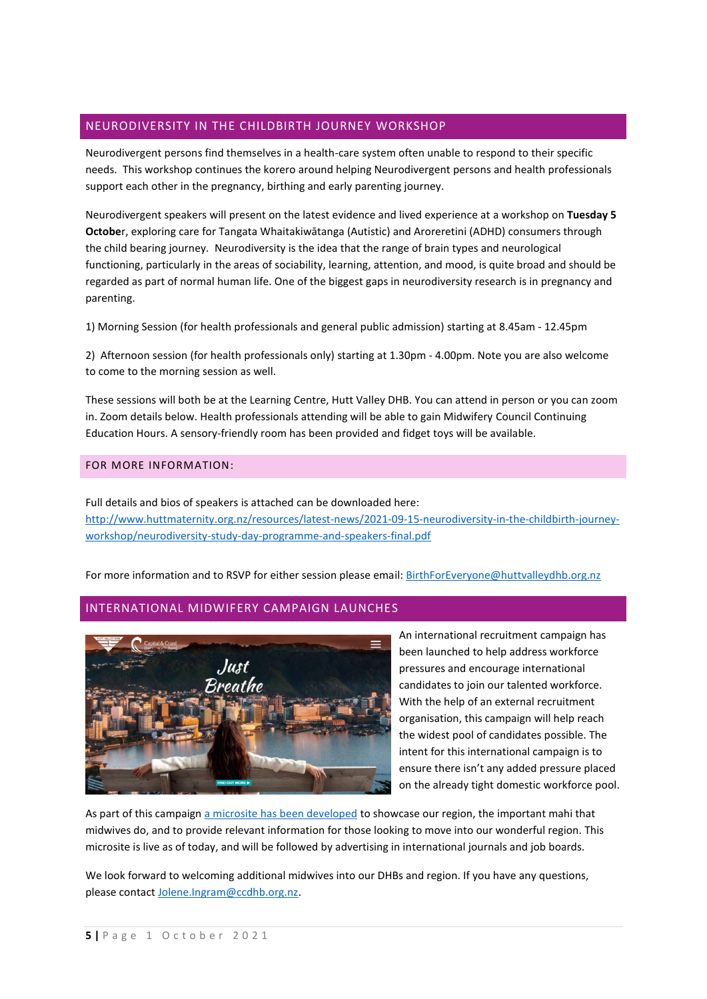## NEURODIVERSITY IN THE CHILDBIRTH JOURNEY WORKSHOP

Neurodivergent persons find themselves in a health-care system often unable to respond to their specific needs. This workshop continues the korero around helping Neurodivergent persons and health professionals support each other in the pregnancy, birthing and early parenting journey.

Neurodivergent speakers will present on the latest evidence and lived experience at a workshop on **Tuesday 5 Octobe**r, exploring care for Tangata Whaitakiwātanga (Autistic) and Aroreretini (ADHD) consumers through the child bearing journey. Neurodiversity is the idea that the range of brain types and neurological functioning, particularly in the areas of sociability, learning, attention, and mood, is quite broad and should be regarded as part of normal human life. One of the biggest gaps in neurodiversity research is in pregnancy and parenting.

1) Morning Session (for health professionals and general public admission) starting at 8.45am - 12.45pm

2) Afternoon session (for health professionals only) starting at 1.30pm - 4.00pm. Note you are also welcome to come to the morning session as well.

These sessions will both be at the Learning Centre, Hutt Valley DHB. You can attend in person or you can zoom in. Zoom details [below.](http://intranet.huttvalleydhb.org.nz/news/latest-news/2021-09-21-neurodiversity-in-the-childbirth-journey-workshop/) Health professionals attending will be able to gain Midwifery Council Continuing Education Hours. A sensory-friendly room has been provided and fidget toys will be available.

#### FOR MORE INFORMATION:

Full details and bios of speakers is attached can be downloaded here: [http://www.huttmaternity.org.nz/resources/latest-news/2021-09-15-neurodiversity-in-the-childbirth-journey](http://www.huttmaternity.org.nz/resources/latest-news/2021-09-15-neurodiversity-in-the-childbirth-journey-workshop/neurodiversity-study-day-programme-and-speakers-final.pdf)[workshop/neurodiversity-study-day-programme-and-speakers-final.pdf](http://www.huttmaternity.org.nz/resources/latest-news/2021-09-15-neurodiversity-in-the-childbirth-journey-workshop/neurodiversity-study-day-programme-and-speakers-final.pdf)

For more information and to RSVP for either session please email: [BirthForEveryone@huttvalleydhb.org.nz](mailto:BirthForEveryone@huttvalleydhb.org.nz)

## INTERNATIONAL MIDWIFERY CAMPAIGN LAUNCHES



An international recruitment campaign has been launched to help address workforce pressures and encourage international candidates to join our talented workforce. With the help of an external recruitment organisation, this campaign will help reach the widest pool of candidates possible. The intent for this international campaign is to ensure there isn't any added pressure placed on the already tight domestic workforce pool.

As part of this campaign [a microsite has been developed](https://www.justbreathemidwives.co.nz/) to showcase our region, the important mahi that midwives do, and to provide relevant information for those looking to move into our wonderful region. This microsite is live as of today, and will be followed by advertising in international journals and job boards.

We look forward to welcoming additional midwives into our DHBs and region. If you have any questions, please contact [Jolene.Ingram@ccdhb.org.nz.](mailto:Jolene.Ingram@ccdhb.org.nz)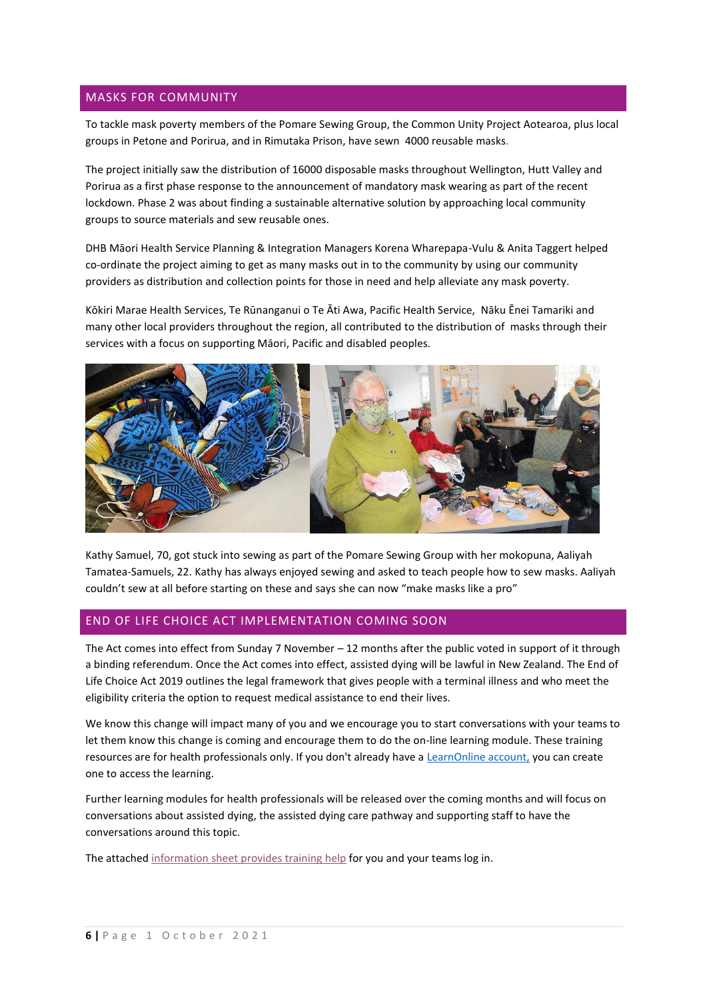## MASKS FOR COMMUNITY

To tackle mask poverty members of the Pomare Sewing Group, the Common Unity Project Aotearoa, plus local groups in Petone and Porirua, and in Rimutaka Prison, have sewn 4000 reusable masks.

The project initially saw the distribution of 16000 disposable masks throughout Wellington, Hutt Valley and Porirua as a first phase response to the announcement of mandatory mask wearing as part of the recent lockdown. Phase 2 was about finding a sustainable alternative solution by approaching local community groups to source materials and sew reusable ones.

DHB Māori Health Service Planning & Integration Managers Korena Wharepapa-Vulu & Anita Taggert helped co-ordinate the project aiming to get as many masks out in to the community by using our community providers as distribution and collection points for those in need and help alleviate any mask poverty.

Kōkiri Marae Health Services, Te Rūnanganui o Te Āti Awa, Pacific Health Service, Nāku Ēnei Tamariki and many other local providers throughout the region, all contributed to the distribution of masks through their services with a focus on supporting Māori, Pacific and disabled peoples.



Kathy Samuel, 70, got stuck into sewing as part of the Pomare Sewing Group with her mokopuna, Aaliyah Tamatea-Samuels, 22. Kathy has always enjoyed sewing and asked to teach people how to sew masks. Aaliyah couldn't sew at all before starting on these and says she can now "make masks like a pro"

## END OF LIFE CHOICE ACT IMPLEMENTATION COMING SOON

The Act comes into effect from Sunday 7 November – 12 months after the public voted in support of it through a binding referendum. Once the Act comes into effect, assisted dying will be lawful in New Zealand. The End of Life Choice Act 2019 outlines the legal framework that gives people with a terminal illness and who meet the eligibility criteria the option to request medical assistance to end their lives.

We know this change will impact many of you and we encourage you to start conversations with your teams to let them know this change is coming and encourage them to do the on-line learning module. These training resources are for health professionals only. If you don't already have a [LearnOnline account,](https://learnonline.health.nz/login/index.php) you can create one to access the learning.

Further learning modules for health professionals will be released over the coming months and will focus on conversations about assisted dying, the assisted dying care pathway and supporting staff to have the conversations around this topic.

The attached [information sheet provides training](https://www.health.govt.nz/system/files/documents/pages/end-life-choice-act-2019-overview-online-learning-module-may21.pdf) help for you and your teams log in.